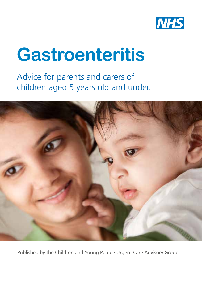

# **Gastroenteritis**

Advice for parents and carers of children aged 5 years old and under.



Published by the Children and Young People Urgent Care Advisory Group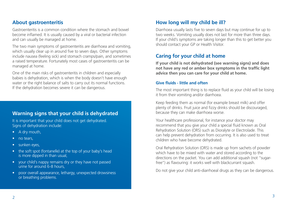## **About gastroenteritis**

Gastroenteritis is a common condition where the stomach and bowel become inflamed. It is usually caused by a viral or bacterial infection and can usually be managed at home.

The two main symptoms of gastroenteritis are diarrhoea and vomiting, which usually clear up in around five to seven days. Other symptoms include nausea (feeling sick) and stomach cramps/pain, and sometimes a raised temperature. Fortunately most cases of gastroenteritis can be managed at home.

One of the main risks of gastroenteritis in children and especially babies is dehydration, which is when the body doesn't have enough water or the right balance of salts to carry out its normal functions. If the dehydration becomes severe it can be dangerous.

## **Warning signs that your child is dehydrated**

It is important that your child does not get dehydrated. Signs of dehydration include:

- A dry mouth,
- no tears,
- sunken eyes,
- the soft spot (fontanelle) at the top of your baby's head is more dipped in than usual,
- your child's nappy remains dry or they have not passed urine for around 6-8 hours,
- poor overall appearance, lethargy, unexpected drowsiness or breathing problems.

## **How long will my child be ill?**

Diarrhoea usually lasts five to seven days but may continue for up to two weeks. Vomiting usually does not last for more than three days. If your child's symptoms are taking longer than this to get better you should contact your GP or Health Visitor.

## **Caring for your child at home**

**If your child is not dehydrated (see warning signs) and does not have any red or amber box symptoms in the traffic light advice then you can care for your child at home.**

#### **Give fluids - little and often**

The most important thing is to replace fluid as your child will be losing it from their vomiting and/or diarrhoea.

Keep feeding them as normal (for example breast milk) and offer plenty of drinks. Fruit juice and fizzy drinks should be discouraged, because they can make diarrhoea worse.

Your healthcare professional, for instance your doctor may recommend that you give your child a special fluid known as Oral Rehydration Solution (ORS) such as Dioralyte or Electrolade. This can help prevent dehydration from occurring. It is also used to treat children who have become dehydrated.

Oral Rehydration Solution (ORS) is made up from sachets of powder which have to be mixed with water and stored according to the directions on the packet. You can add additional squash (not "sugarfree") as flavouring: it works well with blackcurrant squash.

Do not give your child anti-diarrhoeal drugs as they can be dangerous.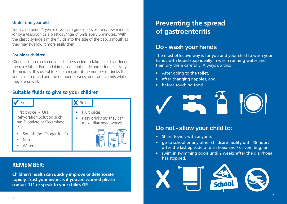#### **Under one year old**

For a child under 1 year old you can give small sips every few minutes (or by a teaspoon or a plastic syringe of 5mls every 5 minutes). With the plastic syringe aim the fluids into the side of the baby's mouth as they may swallow it more easily then.

#### **For older children**

Older children can sometimes be persuaded to take fluids by offering them ice lollies. For all children, give drinks little and often e.g. every 10 minutes. It is useful to keep a record of the number of drinks that your child has had and the number of wees, poos and vomits while they are unwell.

### **Suitable fluids to give to your children**

| Fluids                        | Fluids                    |
|-------------------------------|---------------------------|
| First choice - Oral           | Fruit juices              |
| Rehydration Solution such     | Fizzy drinks (as they can |
| has Dioralyte or Electrolade. | make diarrhoea worse)     |
| Give:                         | EMONADE                   |
| Squash (not "sugar-free")     | ORANGE                    |
| Milk                          | <b>JUICE</b>              |
| Water                         | FIZZ                      |

## **REMEMBER:**

**Children's health can quickly improve or deteriorate rapidly. Trust your instincts if you are worried please contact 111 or speak to your child's GP.**

## **Preventing the spread of gastroenteritis**

## **Do - wash your hands**

The most effective way is for you and your child to wash your hands with liquid soap ideally in warm running water and then dry them carefully. Always do this:

- After going to the toilet,
- after changing nappies, and
- before touching food.



## **Do not - allow your child to:**

- Share towels with anyone,
- go to school or any other childcare facility until 48 hours after the last episode of diarrhoea and / or vomiting, or
- swim in swimming pools until 2 weeks after the diarrhoea has stopped.

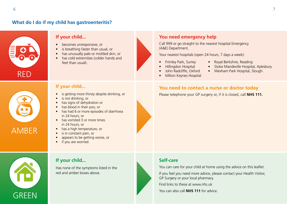## **What do I do if my child has gastroenteritis?**



#### **If your child...**

is not drinking, or

in 24 hours, or

in 24 hours, or

if you are worried.

• has signs of dehydration or • has blood in their poo, or

• has vomited 3 or more times

• has a high temperature, or is in constant pain, or

• appears to be getting worse, or

**If your child...** 

Has none of the symptoms listed in the

red and amber boxes above.

- becomes unresponsive, or
- is breathing faster than usual, or
- has unusually pale or mottled skin, or
- has cold extremities (colder hands and feet than usual).

is getting more thirsty despite drinking, or

• has had 6 or more episodes of diarrhoea

#### **You need emergency help**

Call 999 or go straight to the nearest hospital Emergency (A&E) Department.

Your nearest hospitals (open 24 hours, 7 days a week):

- Frimley Park, Surrey
- Royal Berkshire, Reading
- Hillingdon Hospital
- John Radcliffe, Oxford
- Milton Keynes Hospital

# AMBER



## **If your child... You need to contact a nurse or doctor today**

Please telephone your GP surgery or, if it is closed, call **NHS 111.**

#### **Self-care**

You can care for your child at home using the advice on this leaflet.

If you feel you need more advice, please contact your Health Visitor, GP Surgery or your local pharmacy.

Find links to these at www.nhs.uk

You can also call **NHS 111** for advice.

- Stoke Mandeville Hospital, Aylesbury
- Wexham Park Hospital, Slough.